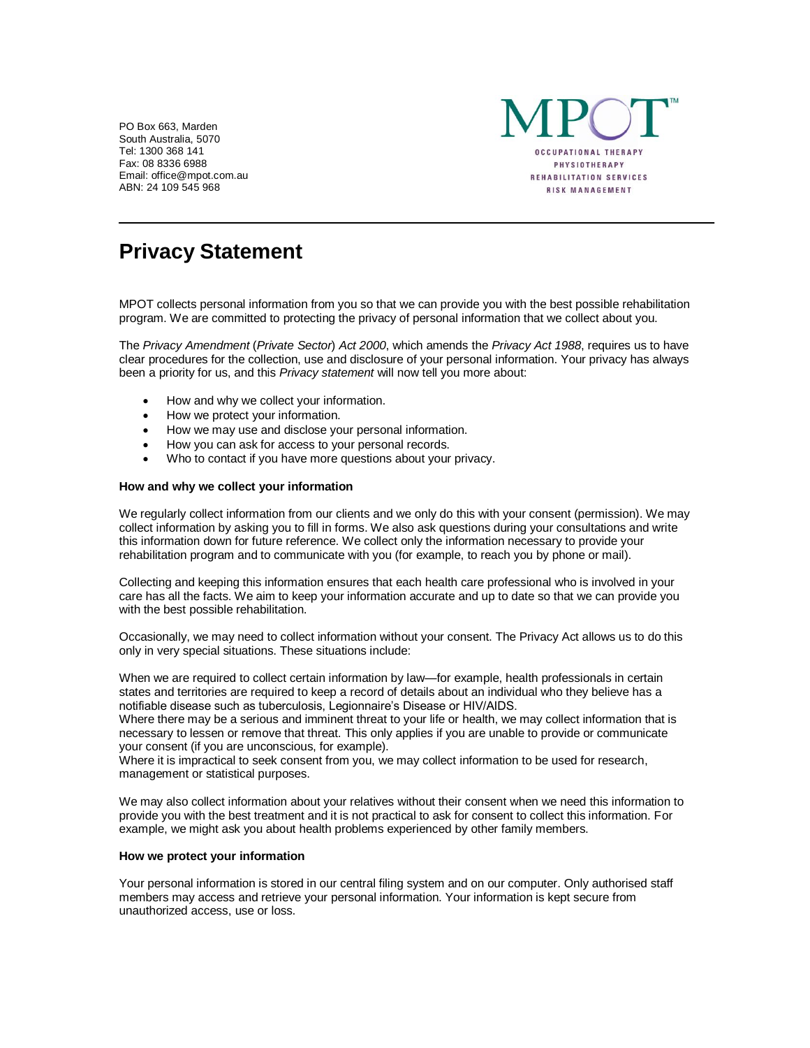PO Box 663, Marden South Australia, 5070 Tel: 1300 368 141 Fax: 08 8336 6988 Email: office@mpot.com.au ABN: 24 109 545 968



# **Privacy Statement**

MPOT collects personal information from you so that we can provide you with the best possible rehabilitation program. We are committed to protecting the privacy of personal information that we collect about you.

The *Privacy Amendment* (*Private Sector*) *Act 2000*, which amends the *Privacy Act 1988*, requires us to have clear procedures for the collection, use and disclosure of your personal information. Your privacy has always been a priority for us, and this *Privacy statement* will now tell you more about:

- How and why we collect your information.
- How we protect your information.
- How we may use and disclose your personal information.
- How you can ask for access to your personal records.
- Who to contact if you have more questions about your privacy.

## **How and why we collect your information**

We regularly collect information from our clients and we only do this with your consent (permission). We may collect information by asking you to fill in forms. We also ask questions during your consultations and write this information down for future reference. We collect only the information necessary to provide your rehabilitation program and to communicate with you (for example, to reach you by phone or mail).

Collecting and keeping this information ensures that each health care professional who is involved in your care has all the facts. We aim to keep your information accurate and up to date so that we can provide you with the best possible rehabilitation.

Occasionally, we may need to collect information without your consent. The Privacy Act allows us to do this only in very special situations. These situations include:

When we are required to collect certain information by law—for example, health professionals in certain states and territories are required to keep a record of details about an individual who they believe has a notifiable disease such as tuberculosis, Legionnaire's Disease or HIV/AIDS.

Where there may be a serious and imminent threat to your life or health, we may collect information that is necessary to lessen or remove that threat. This only applies if you are unable to provide or communicate your consent (if you are unconscious, for example).

Where it is impractical to seek consent from you, we may collect information to be used for research, management or statistical purposes.

We may also collect information about your relatives without their consent when we need this information to provide you with the best treatment and it is not practical to ask for consent to collect this information. For example, we might ask you about health problems experienced by other family members.

#### **How we protect your information**

Your personal information is stored in our central filing system and on our computer. Only authorised staff members may access and retrieve your personal information. Your information is kept secure from unauthorized access, use or loss.